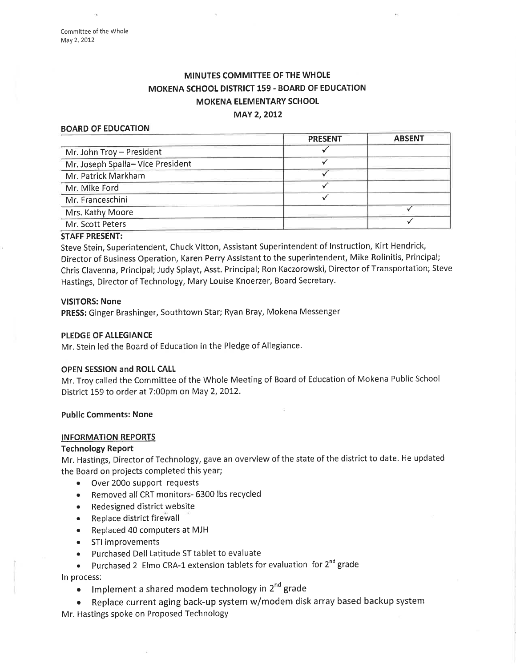# MINUTES COMMITTEE OF THE WHOLE MOKENA SCHOOL DISTRICT 159 - BOARD OF EDUCATION MOKENA ELEMENTARY SCHOOL

### MAY 2, 2012

### BOARD OF EDUCATION

|                                  | <b>PRESENT</b> | <b>ABSENT</b> |
|----------------------------------|----------------|---------------|
| Mr. John Troy - President        |                |               |
| Mr. Joseph Spalla-Vice President |                |               |
| Mr. Patrick Markham              |                |               |
| Mr. Mike Ford                    |                |               |
| Mr. Franceschini                 |                |               |
| Mrs. Kathy Moore                 |                |               |
| Mr. Scott Peters                 |                |               |
|                                  |                |               |

### STAFF PRESENT:

Steve Stein, Superintendent, Chuck Vitton, Assistant Superintendent of lnstruction, Kirt Hendrick, Director of Business Operation, Karen Perry Assistant to the superintendent, Mike Rolinitis, Principal; Chris Clavenna, Principal; judy Splayt, Asst. Principal; Ron Kaczorowski, Director of Transportation; Steve Hastings, Director of Technology, Mary Louise Knoerzer, Board Secretary.

#### VISITORS: None

PRESS: Ginger Brashinger, Southtown Star; Ryan Bray, Mokena Messenger

### PLEDGE OF ALLEGIANCE

Mr. Stein led the Board of Education in the Pledge of Allegiance.

#### OPEN SESSION and ROLL CALL

Mr. Troy called the Committee of the Whole Meeting of Board of Education of Mokena Public School District 159 to order at 7:00pm on May 2, 2012.

Public Comments: None

### INFORMATION REPORTS

## Technology Report

Mr. Hastings, Director of Technology, gave an overview of the state of the district to date. He updated the Board on projects completed this year;

- Over 200o support requests
- Removed all CRT monitors- 6300 lbs recycled
- o Redesigned district website
- . Replace district firewall
- Replaced 40 computers at MJH
- o STI improvements
- o Purchased Dell Latitude ST tablet to evaluate
- Purchased 2 Elmo CRA-1 extension tablets for evaluation for  $2^{nd}$  grade

ln process:

- Implement a shared modem technology in 2<sup>nd</sup> grade
- . Replace current aging back-up system w/modem disk array based backup system Mr. Hastings spoke on Proposed Technology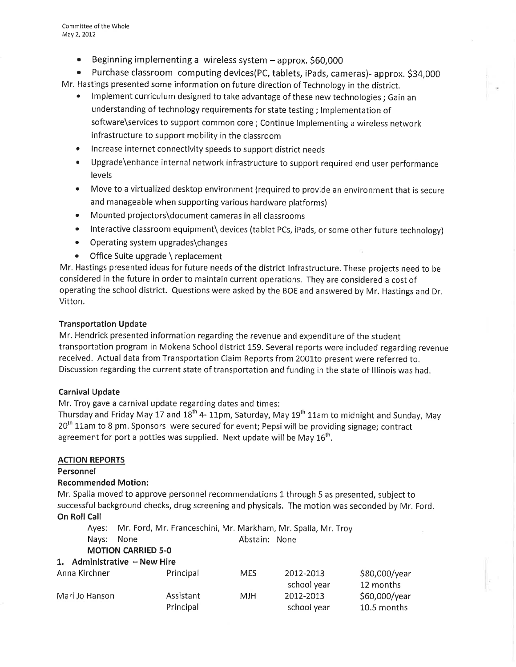• Beginning implementing a wireless system - approx. \$60,000

o Purchase classroom computing devices(PC, tablets, iPads, cameras)- approx. S34,000 Mr. Hastings presented some information on future direction of Technology in the district.

- . lmplement curriculum designed to take advantage of these new technologies; Gain an understanding of technology requirements for state testing ; lmplementation of software\services to support common core ; Continue lmplementing a wireless network infrastructure to support mobility in the classroom
- **•** Increase internet connectivity speeds to support district needs
- . Upgrade\enhance internal network infrastructure to support required end user performance levels
- Move to a virtualized desktop environment (required to provide an environment that is secure and manageable when supporting various hardware platforms)
- Mounted projectors\document cameras in all classrooms
- Interactive classroom equipment\ devices (tablet PCs, iPads, or some other future technology)
- Operating system upgrades\changes
- Office Suite upgrade \ replacement

Mr. Hastings presented ideas for future needs of the district Infrastructure. These projects need to be considered in the future in order to maintain current operations. They are considered a cost of operating the school district. Questions were asked by the BOE and answered by Mr. Hastings and Dr. vitton.

# Transportation Update

Mr. Hendrick presented information regarding the revenue and expenditure of the student transportation program in Mokena School district 159. Several reports were included regarding revenue received. Actual data from Transportation Claim Reports from 2001to present were referred to. Discussion regarding the current state of transportation and funding in the state of lllinois was had.

# Carnival Update

Mr, Troy gave a carnival update regarding dates and times:

Thursday and Friday May 17 and 18<sup>th</sup> 4- 11pm, Saturday, May 19<sup>th</sup> 11am to midnight and Sunday, May 20<sup>th</sup> 11am to 8 pm. Sponsors were secured for event; Pepsi will be providing signage; contract agreement for port a potties was supplied. Next update will be May  $16<sup>th</sup>$ .

# ACTION REPORTS

## Personnel

## Recommended Motion:

Mr. Spalla moved to approve personnel recommendations 1 through 5 as presented, subject to successful background checks, drug screening and physicals. The motion was seconded by Mr. Ford. **On Roll Call** 

Ayes: Mr. Ford, Mr. Franceschini, Mr. Markham, Mr. Spalla, Mr. Troy

Abstain: None

# MOTION CARRIED 5-O

## 1. Administrative  $-$  New Hire

Nays: None

| Anna Kirchner  | Principal | MES. | 2012-2013   | \$80,000/year |
|----------------|-----------|------|-------------|---------------|
|                |           |      | school year | 12 months     |
| Mari Jo Hanson | Assistant | MJH. | 2012-2013   | \$60,000/year |
|                | Principal |      | school year | 10.5 months   |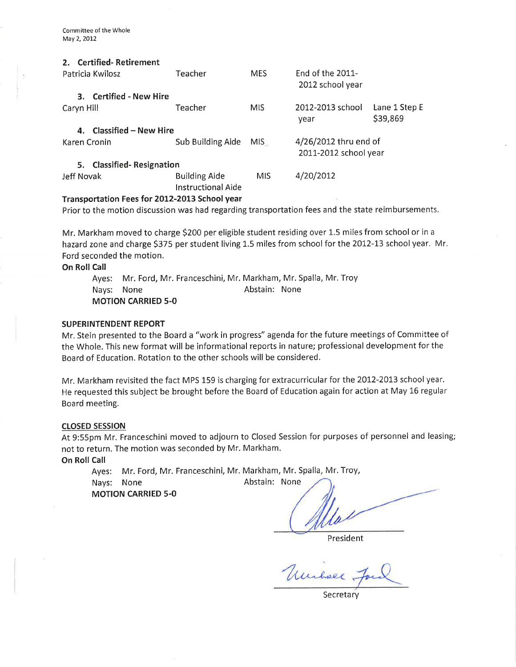| <b>Certified-Retirement</b><br>$2_{-}$<br>Patricia Kwilosz | Teacher                                    | <b>MES</b> | $End of the 2011-$<br>2012 school year         |                           |  |  |
|------------------------------------------------------------|--------------------------------------------|------------|------------------------------------------------|---------------------------|--|--|
| 3. Certified - New Hire                                    |                                            |            |                                                |                           |  |  |
| Caryn Hill                                                 | Teacher                                    | <b>MIS</b> | 2012-2013 school<br>year                       | Lane 1 Step E<br>\$39,869 |  |  |
| 4. Classified - New Hire                                   |                                            |            |                                                |                           |  |  |
| Karen Cronin                                               | Sub Building Aide                          | MIS.       | 4/26/2012 thru end of<br>2011-2012 school year |                           |  |  |
| 5. Classified-Resignation                                  |                                            |            |                                                |                           |  |  |
| Jeff Novak                                                 | <b>Building Aide</b><br>Instructional Aide | <b>MIS</b> | 4/20/2012                                      |                           |  |  |
| Transportation Fees for 2012-2013 School year<br>59        |                                            |            |                                                |                           |  |  |

Prior to the motion discussion was had regarding transportation fees and the state reimbursements.

Mr. Markham moved to charge \$ZOO per eligible student residing over 1.5 miles from school or in <sup>a</sup> hazard zone and charge \$375 per student living 1.5 miles from school for the 2012-13 school year. Mr. Ford seconded the motion.

On Roll Call

Ayes: Mr. Ford, Mr. Franceschini, Mr. Markham, Mr. Spalla, Mr. Troy Nays: None **Abstain:** None MOTION CARRIED 5-O

### SUPERINTENDENT REPORT

Mr. Stein presented to the Board a "work in progress" agenda forthe future meetings of Committee of the Whole. This new format will be informational reports in nature; professional development for the Board of Education. Rotation to the other schools will be considered.

Mr. Markham revisited the fact MPS 159 is charging for extracurricular for the 2012-2013 schoolyear. He requested this subject be brought before the Board of Education again for action at May 16 regular Board meeting.

### closED sEssloN

At 9:55pm Mr. Franceschini moved to adjourn to Closed Session for purposes of personnel and leasing; not to return. The motion was seconded by Mr. Markham. On Roll Call

Ayes: Mr. Ford, Mr. Franceschini, Mr. Markham, Mr. Spalla, Mr. Troy,

Nays: None

Abstain: None

MOTION CARRIED 5-O

President

Unchall,

**Secretary**